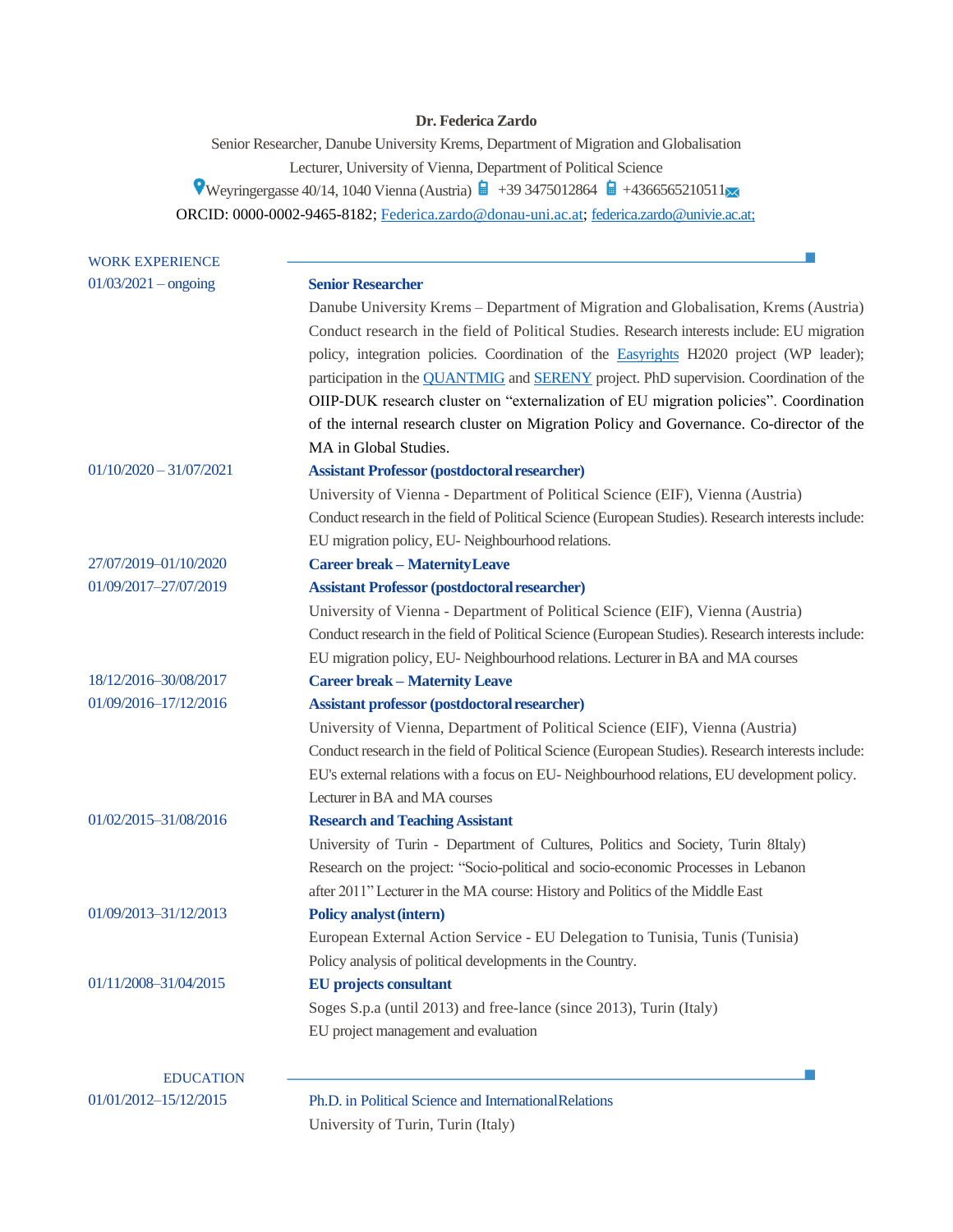# **Dr. Federica Zardo**

Senior Researcher, Danube University Krems, Department of Migration and Globalisation Lecturer, University of Vienna, Department of Political Science  $\bullet$  Weyringergasse 40/14, 1040 Vienna (Austria)  $\bullet$  +39 3475012864  $\bullet$  +4366565210511 ORCID: 0000-0002-9465-8182; [Federica.zardo@donau-uni.ac.at;](mailto:Federica.zardo@donau-uni.ac.at) [federica.zardo@univie.ac.at;](mailto:federica.zardo@univie.ac.at)

| <b>WORK EXPERIENCE</b>                    |                                                                                                      |
|-------------------------------------------|------------------------------------------------------------------------------------------------------|
| $01/03/2021 -$ ongoing                    | <b>Senior Researcher</b>                                                                             |
|                                           | Danube University Krems - Department of Migration and Globalisation, Krems (Austria)                 |
|                                           | Conduct research in the field of Political Studies. Research interests include: EU migration         |
|                                           | policy, integration policies. Coordination of the Easyrights H2020 project (WP leader);              |
|                                           | participation in the <b>QUANTMIG</b> and <b>SERENY</b> project. PhD supervision. Coordination of the |
|                                           | OIIP-DUK research cluster on "externalization of EU migration policies". Coordination                |
|                                           | of the internal research cluster on Migration Policy and Governance. Co-director of the              |
|                                           | MA in Global Studies.                                                                                |
| $01/10/2020 - 31/07/2021$                 | <b>Assistant Professor (postdoctoral researcher)</b>                                                 |
|                                           | University of Vienna - Department of Political Science (EIF), Vienna (Austria)                       |
|                                           | Conduct research in the field of Political Science (European Studies). Research interests include:   |
|                                           | EU migration policy, EU- Neighbourhood relations.                                                    |
| 27/07/2019-01/10/2020                     | <b>Career break - Maternity Leave</b>                                                                |
| 01/09/2017-27/07/2019                     | <b>Assistant Professor (postdoctoral researcher)</b>                                                 |
|                                           | University of Vienna - Department of Political Science (EIF), Vienna (Austria)                       |
|                                           | Conduct research in the field of Political Science (European Studies). Research interests include:   |
|                                           | EU migration policy, EU- Neighbourhood relations. Lecturer in BA and MA courses                      |
| 18/12/2016-30/08/2017                     | <b>Career break - Maternity Leave</b>                                                                |
| 01/09/2016-17/12/2016                     | Assistant professor (postdoctoral researcher)                                                        |
|                                           | University of Vienna, Department of Political Science (EIF), Vienna (Austria)                        |
|                                           | Conduct research in the field of Political Science (European Studies). Research interests include:   |
|                                           | EU's external relations with a focus on EU-Neighbourhood relations, EU development policy.           |
|                                           | Lecturer in BA and MA courses                                                                        |
| 01/02/2015-31/08/2016                     | <b>Research and Teaching Assistant</b>                                                               |
|                                           | University of Turin - Department of Cultures, Politics and Society, Turin 8Italy)                    |
|                                           | Research on the project: "Socio-political and socio-economic Processes in Lebanon                    |
|                                           | after 2011" Lecturer in the MA course: History and Politics of the Middle East                       |
| 01/09/2013-31/12/2013                     | <b>Policy analyst (intern)</b>                                                                       |
|                                           | European External Action Service - EU Delegation to Tunisia, Tunis (Tunisia)                         |
|                                           | Policy analysis of political developments in the Country.                                            |
| 01/11/2008-31/04/2015                     | <b>EU</b> projects consultant                                                                        |
|                                           | Soges S.p.a (until 2013) and free-lance (since 2013), Turin (Italy)                                  |
|                                           | EU project management and evaluation                                                                 |
|                                           |                                                                                                      |
| <b>EDUCATION</b><br>01/01/2012-15/12/2015 | Ph.D. in Political Science and International Relations                                               |
|                                           | University of Turin, Turin (Italy)                                                                   |
|                                           |                                                                                                      |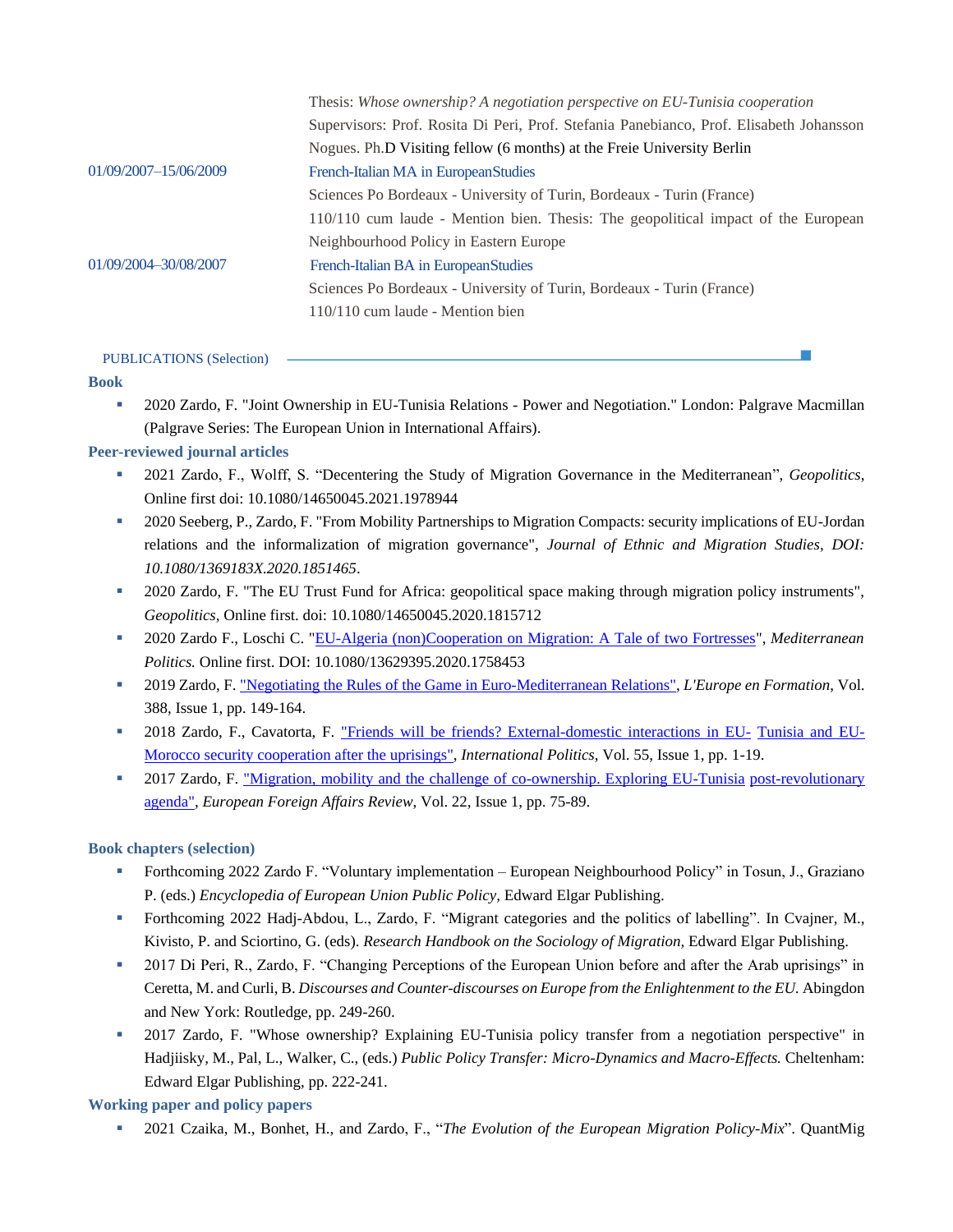|                       | Thesis: Whose ownership? A negotiation perspective on EU-Tunisia cooperation            |
|-----------------------|-----------------------------------------------------------------------------------------|
|                       | Supervisors: Prof. Rosita Di Peri, Prof. Stefania Panebianco, Prof. Elisabeth Johansson |
|                       | Nogues. Ph.D Visiting fellow (6 months) at the Freie University Berlin                  |
| 01/09/2007-15/06/2009 | French-Italian MA in EuropeanStudies                                                    |
|                       | Sciences Po Bordeaux - University of Turin, Bordeaux - Turin (France)                   |
|                       | 110/110 cum laude - Mention bien. Thesis: The geopolitical impact of the European       |
|                       | Neighbourhood Policy in Eastern Europe                                                  |
| 01/09/2004-30/08/2007 | French-Italian BA in European Studies                                                   |
|                       | Sciences Po Bordeaux - University of Turin, Bordeaux - Turin (France)                   |
|                       | $110/110$ cum laude - Mention bien                                                      |
|                       |                                                                                         |

#### PUBLICATIONS (Selection)

#### **Book**

▪ 2020 Zardo, F. "Joint Ownership in EU-Tunisia Relations - Power and Negotiation." London: Palgrave Macmillan (Palgrave Series: The European Union in International Affairs).

# **Peer-reviewed journal articles**

- 2021 Zardo, F., Wolff, S. "Decentering the Study of Migration Governance in the Mediterranean", *Geopolitics*, Online first doi: 10.1080/14650045.2021.1978944
- 2020 Seeberg, P., Zardo, F. "From Mobility Partnerships to Migration Compacts: security implications of EU-Jordan relations and the informalization of migration governance", *Journal of Ethnic and Migration Studies, DOI: 10.1080/1369183X.2020.1851465*.
- 2020 Zardo, F. "The EU Trust Fund for Africa: geopolitical space making through migration policy instruments", *Geopolitics*, Online first. doi: 10.1080/14650045.2020.1815712
- 2020 Zardo F., Loschi C. ["EU-Algeria \(non\)Cooperation on Migration: A Tale of two Fortresses"](https://www.tandfonline.com/doi/full/10.1080/13629395.2020.1758453), *Mediterranean Politics.* Online first. DOI: 10.1080/13629395.2020.1758453
- 2019 Zardo, F. "Negotiating the Rules of the Game in Euro-Mediterranean Relations", *L'Europe en Formation*, Vol. 388, Issue 1, pp. 149-164.
- 2018 Zardo, F., Cavatorta, F. "Friends will be friends? External-domestic interactions in EU- Tunisia and EU-Morocco security cooperation after the uprisings", *International Politics*, Vol. 55, Issue 1, pp. 1-19.
- **•** 2017 Zardo, F. "Migration, mobility and the challenge of co-ownership. Exploring EU-Tunisia post-revolutionary agenda", *European Foreign Affairs Review*, Vol. 22, Issue 1, pp. 75-89.

### **Book chapters (selection)**

- Forthcoming 2022 Zardo F. "Voluntary implementation European Neighbourhood Policy" in Tosun, J., Graziano P. (eds.) *Encyclopedia of European Union Public Policy,* Edward Elgar Publishing.
- Forthcoming 2022 Hadj-Abdou, L., Zardo, F. "Migrant categories and the politics of labelling". In Cvajner, M., Kivisto, P. and Sciortino, G. (eds). *Research Handbook on the Sociology of Migration,* Edward Elgar Publishing.
- 2017 Di Peri, R., Zardo, F. "Changing Perceptions of the European Union before and after the Arab uprisings" in Ceretta, M. and Curli, B. *Discourses and Counter-discourses on Europe from the Enlightenment to the EU.* Abingdon and New York: Routledge, pp. 249-260.
- 2017 Zardo, F. "Whose ownership? Explaining EU-Tunisia policy transfer from a negotiation perspective" in Hadjiisky, M., Pal, L., Walker, C., (eds.) *Public Policy Transfer: Micro-Dynamics and Macro-Effects.* Cheltenham: Edward Elgar Publishing, pp. 222-241.

### **Working paper and policy papers**

▪ 2021 Czaika, M., Bonhet, H., and Zardo, F., "*The Evolution of the European Migration Policy-Mix*". QuantMig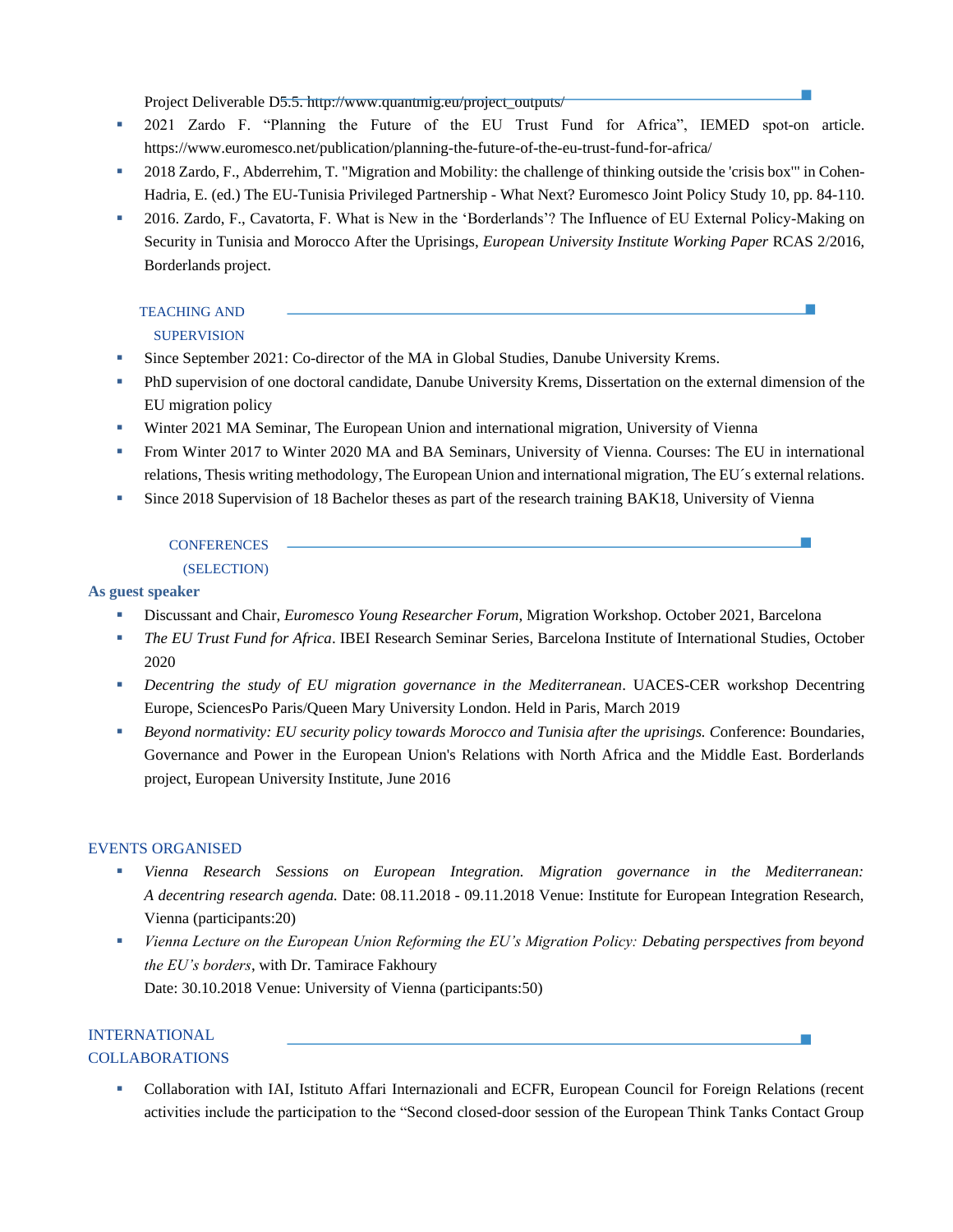Project Deliverable D5.5. http://www.quantmig.eu/project\_outputs/

- 2021 Zardo F. "Planning the Future of the EU Trust Fund for Africa", IEMED spot-on article. https://www.euromesco.net/publication/planning-the-future-of-the-eu-trust-fund-for-africa/
- 2018 Zardo, F., Abderrehim, T. "Migration and Mobility: the challenge of thinking outside the 'crisis box'" in Cohen-Hadria, E. (ed.) The EU-Tunisia Privileged Partnership - What Next? Euromesco Joint Policy Study 10, pp. 84-110.
- 2016. Zardo, F., Cavatorta, F. What is New in the 'Borderlands'? The Influence of EU External Policy-Making on Security in Tunisia and Morocco After the Uprisings, *European University Institute Working Paper* RCAS 2/2016, Borderlands project.

# TEACHING AND SUPERVISION

- **Since September 2021: Co-director of the MA in Global Studies, Danube University Krems.**
- PhD supervision of one doctoral candidate, Danube University Krems, Dissertation on the external dimension of the EU migration policy
- **Winter 2021 MA Seminar, The European Union and international migration, University of Vienna**
- From Winter 2017 to Winter 2020 MA and BA Seminars, University of Vienna. Courses: The EU in international relations, Thesis writing methodology, The European Union and international migration, The EU´s external relations.

 $\sim$ 

**EXECUTE:** Since 2018 Supervision of 18 Bachelor theses as part of the research training BAK18, University of Vienna

#### **CONFERENCES**

#### (SELECTION)

#### **As guest speaker**

- Discussant and Chair, *Euromesco Young Researcher Forum*, Migration Workshop. October 2021, Barcelona
- *The EU Trust Fund for Africa*. IBEI Research Seminar Series, Barcelona Institute of International Studies, October 2020
- *Decentring the study of EU migration governance in the Mediterranean*. UACES-CER workshop Decentring Europe, SciencesPo Paris/Queen Mary University London. Held in Paris, March 2019
- *Beyond normativity: EU security policy towards Morocco and Tunisia after the uprisings. C*onference: Boundaries, Governance and Power in the European Union's Relations with North Africa and the Middle East. Borderlands project, European University Institute, June 2016

### EVENTS ORGANISED

- *Vienna Research Sessions on European Integration. Migration governance in the Mediterranean: A decentring research agenda.* Date: 08.11.2018 - 09.11.2018 Venue: Institute for European Integration Research, Vienna (participants:20)
- *Vienna Lecture on the European Union Reforming the EU's Migration Policy: Debating perspectives from beyond the EU's borders*, with Dr. Tamirace Fakhoury Date: 30.10.2018 Venue: University of Vienna (participants:50)

# INTERNATIONAL COLLABORATIONS

Collaboration with IAI, Istituto Affari Internazionali and ECFR, European Council for Foreign Relations (recent activities include the participation to the "Second closed-door session of the European Think Tanks Contact Group